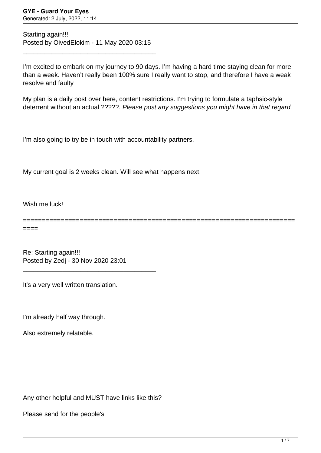Starting again!!! Posted by OivedElokim - 11 May 2020 03:15

\_\_\_\_\_\_\_\_\_\_\_\_\_\_\_\_\_\_\_\_\_\_\_\_\_\_\_\_\_\_\_\_\_\_\_\_\_

I'm excited to embark on my journey to 90 days. I'm having a hard time staying clean for more than a week. Haven't really been 100% sure I really want to stop, and therefore I have a weak resolve and faulty

My plan is a daily post over here, content restrictions. I'm trying to formulate a taphsic-style deterrent without an actual ?????. Please post any suggestions you might have in that regard.

I'm also going to try be in touch with accountability partners.

My current goal is 2 weeks clean. Will see what happens next.

Wish me luck!

========================================================================

====

Re: Starting again!!! Posted by Zedj - 30 Nov 2020 23:01

\_\_\_\_\_\_\_\_\_\_\_\_\_\_\_\_\_\_\_\_\_\_\_\_\_\_\_\_\_\_\_\_\_\_\_\_\_

It's a very well written translation.

I'm already half way through.

Also extremely relatable.

Any other helpful and MUST have links like this?

Please send for the people's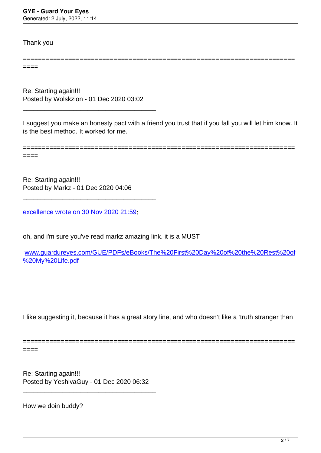Thank you

====

Re: Starting again!!! Posted by Wolskzion - 01 Dec 2020 03:02

\_\_\_\_\_\_\_\_\_\_\_\_\_\_\_\_\_\_\_\_\_\_\_\_\_\_\_\_\_\_\_\_\_\_\_\_\_

I suggest you make an honesty pact with a friend you trust that if you fall you will let him know. It is the best method. It worked for me.

========================================================================

========================================================================

 $====$ 

Re: Starting again!!! Posted by Markz - 01 Dec 2020 04:06

[excellence wrote on 30 Nov 2020 21:59](/forum/4-On-the-Way-to-90-Days/357976-Re-Starting-again%21%21%21)**:**

\_\_\_\_\_\_\_\_\_\_\_\_\_\_\_\_\_\_\_\_\_\_\_\_\_\_\_\_\_\_\_\_\_\_\_\_\_

oh, and i'm sure you've read markz amazing link. it is a MUST

[www.guardureyes.com/GUE/PDFs/eBooks/The%20First%20Day%20of%20the%20Rest%20of](http://www.guardureyes.com/GUE/PDFs/eBooks/The%20First%20Day%20of%20the%20Rest%20of%20My%20Life.pdf) [%20My%20Life.pdf](http://www.guardureyes.com/GUE/PDFs/eBooks/The%20First%20Day%20of%20the%20Rest%20of%20My%20Life.pdf)

I like suggesting it, because it has a great story line, and who doesn't like a 'truth stranger than

========================================================================

====

Re: Starting again!!! Posted by YeshivaGuy - 01 Dec 2020 06:32

\_\_\_\_\_\_\_\_\_\_\_\_\_\_\_\_\_\_\_\_\_\_\_\_\_\_\_\_\_\_\_\_\_\_\_\_\_

How we doin buddy?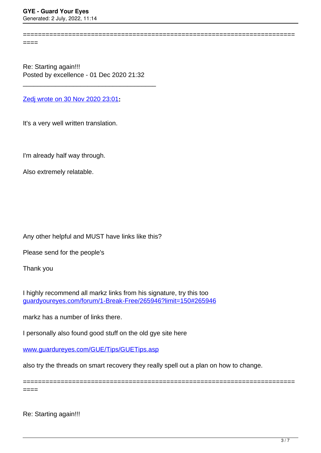Generated: 2 July, 2022, 11:14

 $=$ 

Re: Starting again!!! Posted by excellence - 01 Dec 2020 21:32

\_\_\_\_\_\_\_\_\_\_\_\_\_\_\_\_\_\_\_\_\_\_\_\_\_\_\_\_\_\_\_\_\_\_\_\_\_

[Zedj wrote on 30 Nov 2020 23:01](/forum/4-On-the-Way-to-90-Days/357978-Re-Starting-again%21%21%21)**:**

It's a very well written translation.

I'm already half way through.

Also extremely relatable.

Any other helpful and MUST have links like this?

Please send for the people's

Thank you

I highly recommend all markz links from his signature, try this too [guardyoureyes.com/forum/1-Break-Free/265946?limit=150#265946](https://guardyoureyes.com/forum/1-Break-Free/265946?limit=150#265946)

markz has a number of links there.

I personally also found good stuff on the old gye site here

[www.guardureyes.com/GUE/Tips/GUETips.asp](http://www.guardureyes.com/GUE/Tips/GUETips.asp)

also try the threads on smart recovery they really spell out a plan on how to change.

========================================================================

========================================================================

 $====$ 

Re: Starting again!!!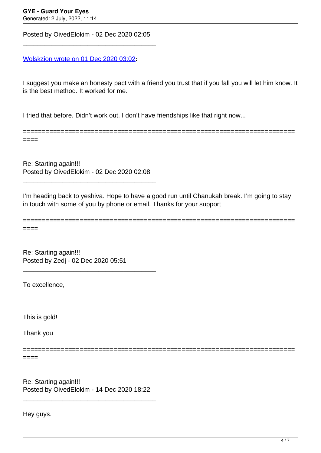Posted by OivedElokim - 02 Dec 2020 02:05 \_\_\_\_\_\_\_\_\_\_\_\_\_\_\_\_\_\_\_\_\_\_\_\_\_\_\_\_\_\_\_\_\_\_\_\_\_

[Wolskzion wrote on 01 Dec 2020 03:02](/forum/4-On-the-Way-to-90-Days/357990-Re-Starting-again%21%21%21)**:**

I suggest you make an honesty pact with a friend you trust that if you fall you will let him know. It is the best method. It worked for me.

========================================================================

I tried that before. Didn't work out. I don't have friendships like that right now...

====

Re: Starting again!!! Posted by OivedElokim - 02 Dec 2020 02:08

\_\_\_\_\_\_\_\_\_\_\_\_\_\_\_\_\_\_\_\_\_\_\_\_\_\_\_\_\_\_\_\_\_\_\_\_\_

I'm heading back to yeshiva. Hope to have a good run until Chanukah break. I'm going to stay in touch with some of you by phone or email. Thanks for your support

======================================================================== ====

Re: Starting again!!! Posted by Zedj - 02 Dec 2020 05:51

======================

\_\_\_\_\_\_\_\_\_\_\_\_\_\_\_\_\_\_\_\_\_\_\_\_\_\_\_\_\_\_\_\_\_\_\_\_\_

To excellence,

This is gold!

Thank you

====

Re: Starting again!!! Posted by OivedElokim - 14 Dec 2020 18:22

\_\_\_\_\_\_\_\_\_\_\_\_\_\_\_\_\_\_\_\_\_\_\_\_\_\_\_\_\_\_\_\_\_\_\_\_\_

Hey guys.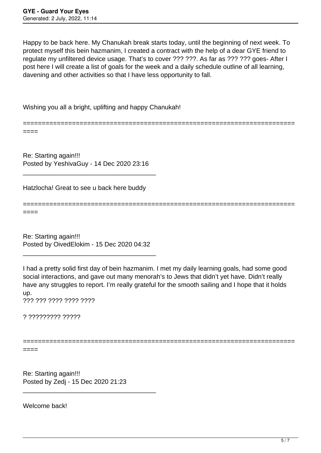Happy to be back here. My Chanukah break starts today, until the beginning of next week. To protect myself this bein hazmanim, I created a contract with the help of a dear GYE friend to regulate my unfiltered device usage. That's to cover ??? ???. As far as ??? ??? goes- After I post here I will create a list of goals for the week and a daily schedule outline of all learning, davening and other activities so that I have less opportunity to fall.

Wishing you all a bright, uplifting and happy Chanukah!

======================================================================== ====

Re: Starting again!!! Posted by YeshivaGuy - 14 Dec 2020 23:16

\_\_\_\_\_\_\_\_\_\_\_\_\_\_\_\_\_\_\_\_\_\_\_\_\_\_\_\_\_\_\_\_\_\_\_\_\_

Hatzlocha! Great to see u back here buddy

====

Re: Starting again!!! Posted by OivedElokim - 15 Dec 2020 04:32

\_\_\_\_\_\_\_\_\_\_\_\_\_\_\_\_\_\_\_\_\_\_\_\_\_\_\_\_\_\_\_\_\_\_\_\_\_

I had a pretty solid first day of bein hazmanim. I met my daily learning goals, had some good social interactions, and gave out many menorah's to Jews that didn't yet have. Didn't really have any struggles to report. I'm really grateful for the smooth sailing and I hope that it holds up. ??? ??? ???? ???? ????

========================================================================

? ????????? ?????

========================================================================

====

Re: Starting again!!! Posted by Zedj - 15 Dec 2020 21:23

\_\_\_\_\_\_\_\_\_\_\_\_\_\_\_\_\_\_\_\_\_\_\_\_\_\_\_\_\_\_\_\_\_\_\_\_\_

Welcome back!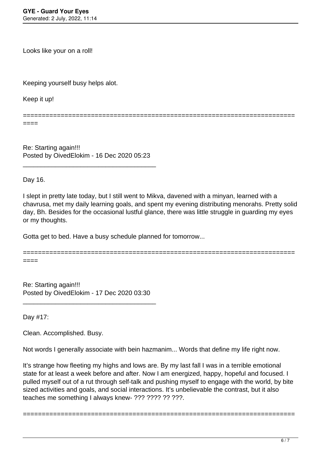Looks like your on a roll!

Keeping yourself busy helps alot.

Keep it up!

========================================================================

====

Re: Starting again!!! Posted by OivedElokim - 16 Dec 2020 05:23

\_\_\_\_\_\_\_\_\_\_\_\_\_\_\_\_\_\_\_\_\_\_\_\_\_\_\_\_\_\_\_\_\_\_\_\_\_

Day 16.

I slept in pretty late today, but I still went to Mikva, davened with a minyan, learned with a chavrusa, met my daily learning goals, and spent my evening distributing menorahs. Pretty solid day, Bh. Besides for the occasional lustful glance, there was little struggle in guarding my eyes or my thoughts.

Gotta get to bed. Have a busy schedule planned for tomorrow...

======================================================================== ====

Re: Starting again!!! Posted by OivedElokim - 17 Dec 2020 03:30

\_\_\_\_\_\_\_\_\_\_\_\_\_\_\_\_\_\_\_\_\_\_\_\_\_\_\_\_\_\_\_\_\_\_\_\_\_

Day #17:

Clean. Accomplished. Busy.

Not words I generally associate with bein hazmanim... Words that define my life right now.

It's strange how fleeting my highs and lows are. By my last fall I was in a terrible emotional state for at least a week before and after. Now I am energized, happy, hopeful and focused. I pulled myself out of a rut through self-talk and pushing myself to engage with the world, by bite sized activities and goals, and social interactions. It's unbelievable the contrast, but it also teaches me something I always knew- ??? ???? ?? ???.

========================================================================